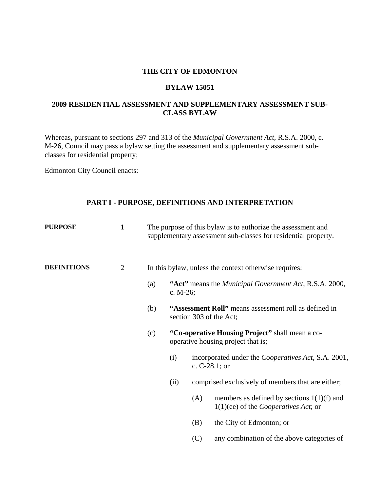#### **THE CITY OF EDMONTON**

#### **BYLAW 15051**

### **2009 RESIDENTIAL ASSESSMENT AND SUPPLEMENTARY ASSESSMENT SUB-CLASS BYLAW**

Whereas, pursuant to sections 297 and 313 of the *Municipal Government Act,* R.S.A. 2000, c. M-26, Council may pass a bylaw setting the assessment and supplementary assessment subclasses for residential property;

Edmonton City Council enacts:

# **PART I - PURPOSE, DEFINITIONS AND INTERPRETATION**

| <b>PURPOSE</b>     | $\mathbf{1}$                   | The purpose of this bylaw is to authorize the assessment and<br>supplementary assessment sub-classes for residential property. |                                                                                       |     |                                                                                                |
|--------------------|--------------------------------|--------------------------------------------------------------------------------------------------------------------------------|---------------------------------------------------------------------------------------|-----|------------------------------------------------------------------------------------------------|
| <b>DEFINITIONS</b> | $\overline{2}$                 |                                                                                                                                | In this bylaw, unless the context otherwise requires:                                 |     |                                                                                                |
|                    |                                | (a)                                                                                                                            | c. $M-26$ ;                                                                           |     | "Act" means the <i>Municipal Government Act</i> , R.S.A. 2000,                                 |
|                    | (b)<br>section 303 of the Act; |                                                                                                                                | "Assessment Roll" means assessment roll as defined in                                 |     |                                                                                                |
|                    |                                | (c)                                                                                                                            | "Co-operative Housing Project" shall mean a co-<br>operative housing project that is; |     |                                                                                                |
|                    |                                |                                                                                                                                | (i)                                                                                   |     | incorporated under the <i>Cooperatives Act</i> , S.A. 2001,<br>c. $C-28.1$ ; or                |
|                    |                                |                                                                                                                                | (ii)                                                                                  |     | comprised exclusively of members that are either;                                              |
|                    |                                |                                                                                                                                |                                                                                       | (A) | members as defined by sections $1(1)(f)$ and<br>$1(1)(ee)$ of the <i>Cooperatives Act</i> ; or |
|                    |                                |                                                                                                                                |                                                                                       | (B) | the City of Edmonton; or                                                                       |
|                    |                                |                                                                                                                                |                                                                                       | (C) | any combination of the above categories of                                                     |
|                    |                                |                                                                                                                                |                                                                                       |     |                                                                                                |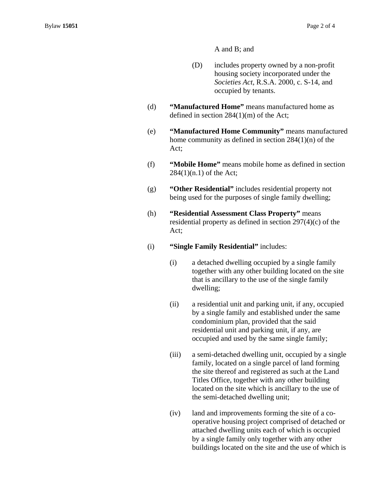A and B; and

- (D) includes property owned by a non-profit housing society incorporated under the *Societies Act*, R.S.A. 2000, c. S-14, and occupied by tenants.
- (d) **"Manufactured Home"** means manufactured home as defined in section 284(1)(m) of the Act;
- (e) **"Manufactured Home Community"** means manufactured home community as defined in section 284(1)(n) of the Act;
- (f) **"Mobile Home"** means mobile home as defined in section  $284(1)(n.1)$  of the Act;
- (g) **"Other Residential"** includes residential property not being used for the purposes of single family dwelling;
- (h) **"Residential Assessment Class Property"** means residential property as defined in section 297(4)(c) of the Act;
- (i) **"Single Family Residential"** includes:
	- (i) a detached dwelling occupied by a single family together with any other building located on the site that is ancillary to the use of the single family dwelling;
	- (ii) a residential unit and parking unit, if any, occupied by a single family and established under the same condominium plan, provided that the said residential unit and parking unit, if any, are occupied and used by the same single family;
	- (iii) a semi-detached dwelling unit, occupied by a single family, located on a single parcel of land forming the site thereof and registered as such at the Land Titles Office, together with any other building located on the site which is ancillary to the use of the semi-detached dwelling unit;
	- (iv) land and improvements forming the site of a cooperative housing project comprised of detached or attached dwelling units each of which is occupied by a single family only together with any other buildings located on the site and the use of which is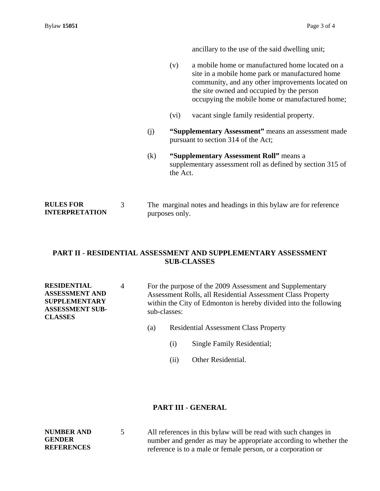**NUMBER AND GENDER REFERENCES** 

ancillary to the use of the said dwelling unit;

- (v) a mobile home or manufactured home located on a site in a mobile home park or manufactured home community, and any other improvements located on the site owned and occupied by the person occupying the mobile home or manufactured home;
- (vi) vacant single family residential property.
- (j) **"Supplementary Assessment"** means an assessment made pursuant to section 314 of the Act;
- (k) **"Supplementary Assessment Roll"** means a supplementary assessment roll as defined by section 315 of the Act.
- **RULES FOR INTERPRETATION**  3 The marginal notes and headings in this bylaw are for reference purposes only.

# **PART II - RESIDENTIAL ASSESSMENT AND SUPPLEMENTARY ASSESSMENT SUB-CLASSES**

**RESIDENTIAL ASSESSMENT AND SUPPLEMENTARY ASSESSMENT SUB-CLASSES**  4 For the purpose of the 2009 Assessment and Supplementary Assessment Rolls, all Residential Assessment Class Property within the City of Edmonton is hereby divided into the following sub-classes:

- (a) Residential Assessment Class Property
	- (i) Single Family Residential;
	- (ii) Other Residential.

## **PART III - GENERAL**

5 All references in this bylaw will be read with such changes in number and gender as may be appropriate according to whether the reference is to a male or female person, or a corporation or